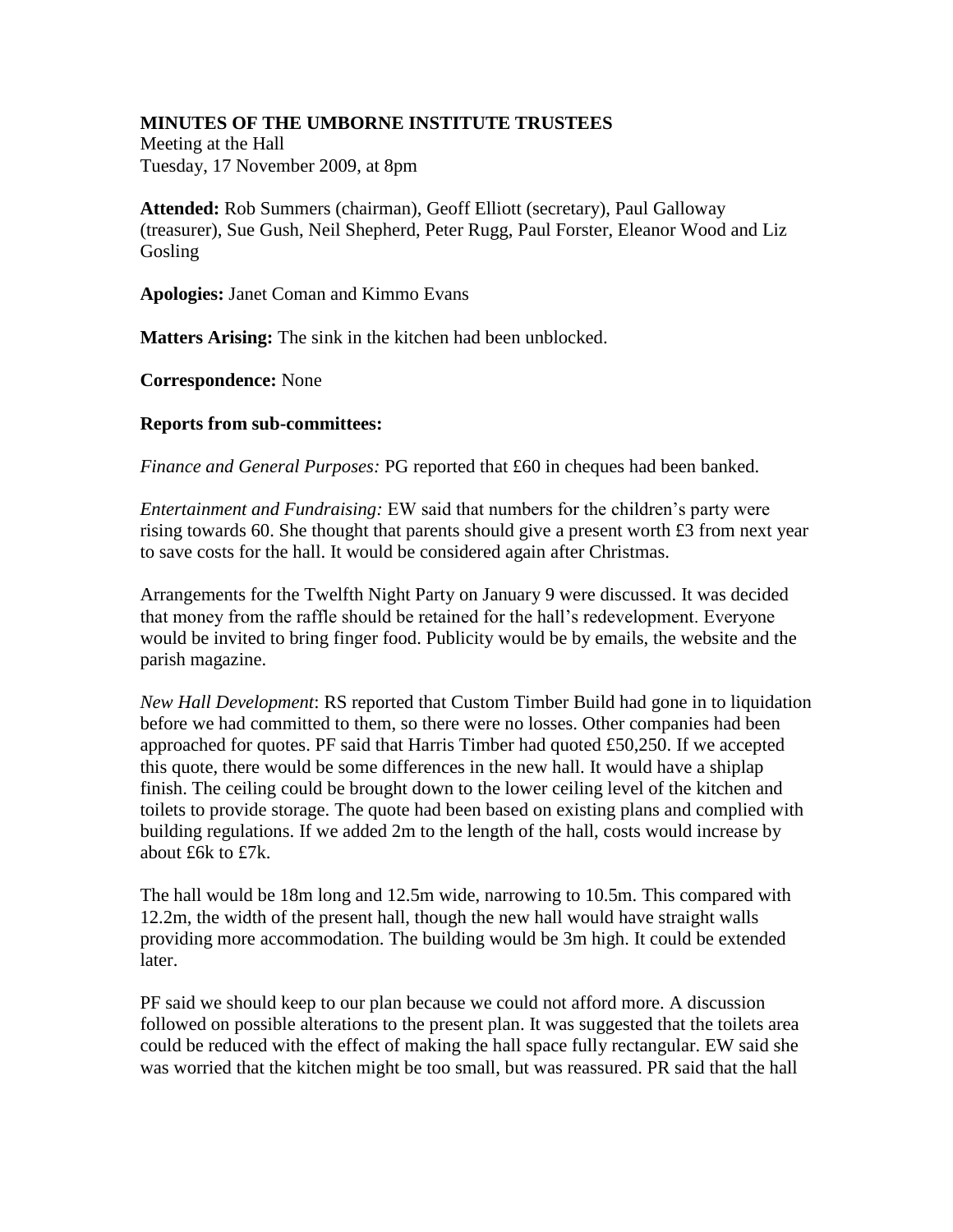## **MINUTES OF THE UMBORNE INSTITUTE TRUSTEES**

Meeting at the Hall Tuesday, 17 November 2009, at 8pm

**Attended:** Rob Summers (chairman), Geoff Elliott (secretary), Paul Galloway (treasurer), Sue Gush, Neil Shepherd, Peter Rugg, Paul Forster, Eleanor Wood and Liz Gosling

**Apologies:** Janet Coman and Kimmo Evans

**Matters Arising:** The sink in the kitchen had been unblocked.

**Correspondence:** None

## **Reports from sub-committees:**

*Finance and General Purposes:* PG reported that £60 in cheques had been banked.

*Entertainment and Fundraising:* EW said that numbers for the children's party were rising towards 60. She thought that parents should give a present worth £3 from next year to save costs for the hall. It would be considered again after Christmas.

Arrangements for the Twelfth Night Party on January 9 were discussed. It was decided that money from the raffle should be retained for the hall's redevelopment. Everyone would be invited to bring finger food. Publicity would be by emails, the website and the parish magazine.

*New Hall Development*: RS reported that Custom Timber Build had gone in to liquidation before we had committed to them, so there were no losses. Other companies had been approached for quotes. PF said that Harris Timber had quoted £50,250. If we accepted this quote, there would be some differences in the new hall. It would have a shiplap finish. The ceiling could be brought down to the lower ceiling level of the kitchen and toilets to provide storage. The quote had been based on existing plans and complied with building regulations. If we added 2m to the length of the hall, costs would increase by about £6k to £7k.

The hall would be 18m long and 12.5m wide, narrowing to 10.5m. This compared with 12.2m, the width of the present hall, though the new hall would have straight walls providing more accommodation. The building would be 3m high. It could be extended later.

PF said we should keep to our plan because we could not afford more. A discussion followed on possible alterations to the present plan. It was suggested that the toilets area could be reduced with the effect of making the hall space fully rectangular. EW said she was worried that the kitchen might be too small, but was reassured. PR said that the hall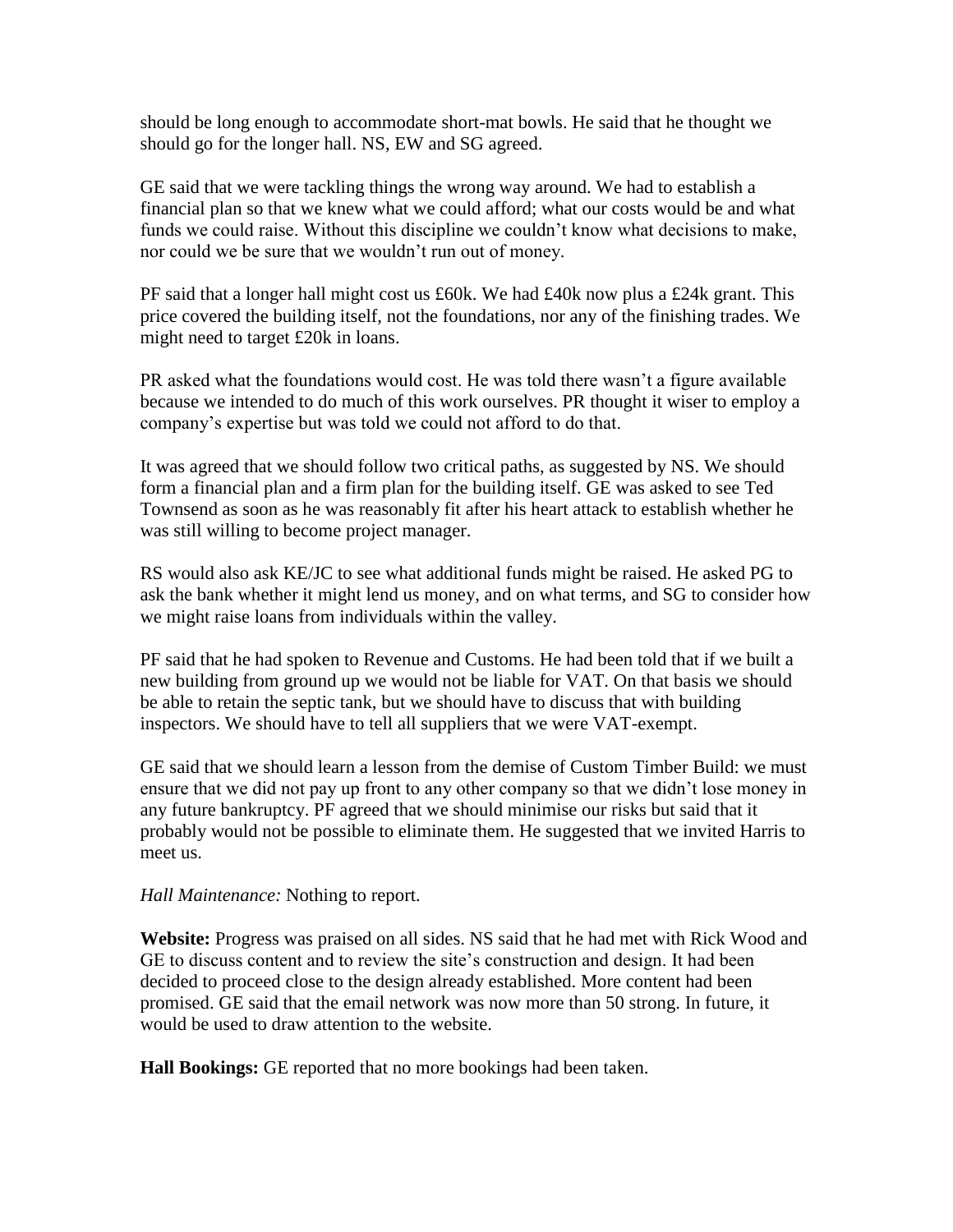should be long enough to accommodate short-mat bowls. He said that he thought we should go for the longer hall. NS, EW and SG agreed.

GE said that we were tackling things the wrong way around. We had to establish a financial plan so that we knew what we could afford; what our costs would be and what funds we could raise. Without this discipline we couldn't know what decisions to make, nor could we be sure that we wouldn't run out of money.

PF said that a longer hall might cost us £60k. We had £40k now plus a £24k grant. This price covered the building itself, not the foundations, nor any of the finishing trades. We might need to target £20k in loans.

PR asked what the foundations would cost. He was told there wasn't a figure available because we intended to do much of this work ourselves. PR thought it wiser to employ a company's expertise but was told we could not afford to do that.

It was agreed that we should follow two critical paths, as suggested by NS. We should form a financial plan and a firm plan for the building itself. GE was asked to see Ted Townsend as soon as he was reasonably fit after his heart attack to establish whether he was still willing to become project manager.

RS would also ask KE/JC to see what additional funds might be raised. He asked PG to ask the bank whether it might lend us money, and on what terms, and SG to consider how we might raise loans from individuals within the valley.

PF said that he had spoken to Revenue and Customs. He had been told that if we built a new building from ground up we would not be liable for VAT. On that basis we should be able to retain the septic tank, but we should have to discuss that with building inspectors. We should have to tell all suppliers that we were VAT-exempt.

GE said that we should learn a lesson from the demise of Custom Timber Build: we must ensure that we did not pay up front to any other company so that we didn't lose money in any future bankruptcy. PF agreed that we should minimise our risks but said that it probably would not be possible to eliminate them. He suggested that we invited Harris to meet us.

*Hall Maintenance:* Nothing to report.

**Website:** Progress was praised on all sides. NS said that he had met with Rick Wood and GE to discuss content and to review the site's construction and design. It had been decided to proceed close to the design already established. More content had been promised. GE said that the email network was now more than 50 strong. In future, it would be used to draw attention to the website.

**Hall Bookings:** GE reported that no more bookings had been taken.